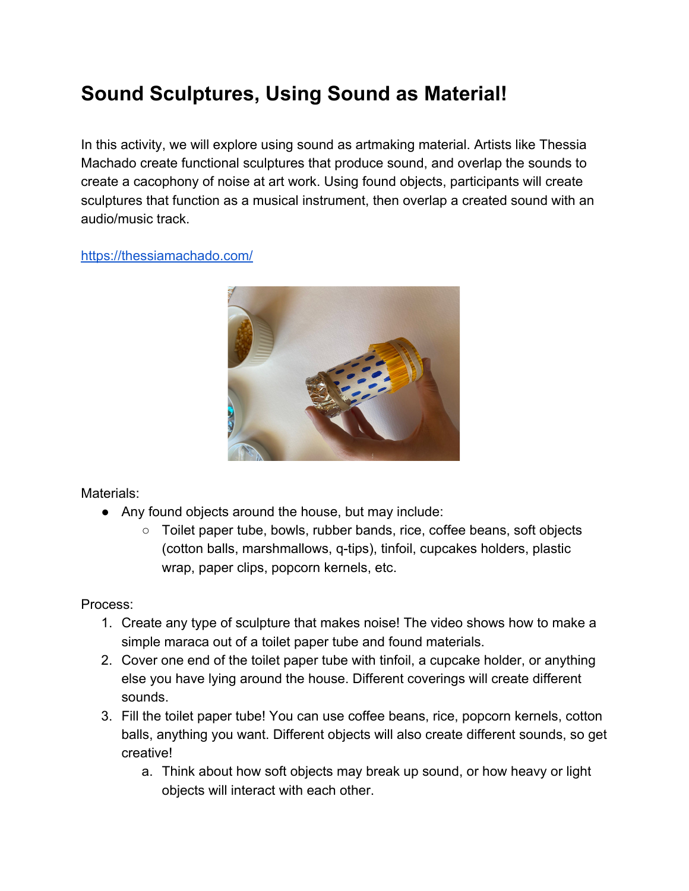## **Sound Sculptures, Using Sound as Material!**

In this activity, we will explore using sound as artmaking material. Artists like Thessia Machado create functional sculptures that produce sound, and overlap the sounds to create a cacophony of noise at art work. Using found objects, participants will create sculptures that function as a musical instrument, then overlap a created sound with an audio/music track.

## <https://thessiamachado.com/>



Materials:

- Any found objects around the house, but may include:
	- Toilet paper tube, bowls, rubber bands, rice, coffee beans, soft objects (cotton balls, marshmallows, q-tips), tinfoil, cupcakes holders, plastic wrap, paper clips, popcorn kernels, etc.

Process:

- 1. Create any type of sculpture that makes noise! The video shows how to make a simple maraca out of a toilet paper tube and found materials.
- 2. Cover one end of the toilet paper tube with tinfoil, a cupcake holder, or anything else you have lying around the house. Different coverings will create different sounds.
- 3. Fill the toilet paper tube! You can use coffee beans, rice, popcorn kernels, cotton balls, anything you want. Different objects will also create different sounds, so get creative!
	- a. Think about how soft objects may break up sound, or how heavy or light objects will interact with each other.